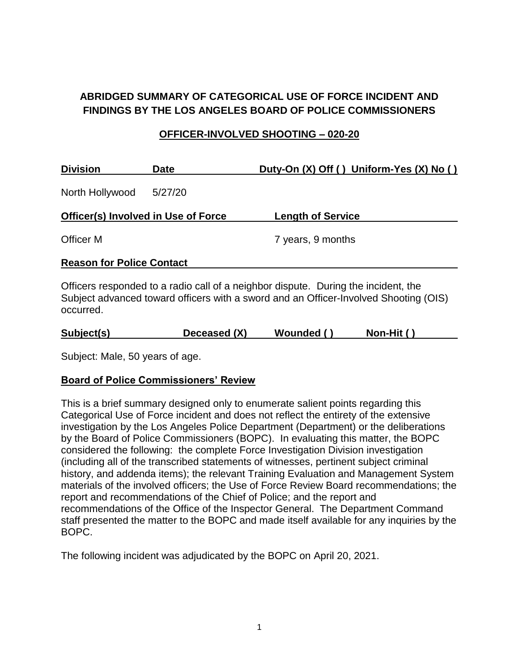## **ABRIDGED SUMMARY OF CATEGORICAL USE OF FORCE INCIDENT AND FINDINGS BY THE LOS ANGELES BOARD OF POLICE COMMISSIONERS**

### **OFFICER-INVOLVED SHOOTING – 020-20**

| <b>Division</b><br><b>Date</b>   |                                            | Duty-On (X) Off () Uniform-Yes (X) No ()                                           |  |  |
|----------------------------------|--------------------------------------------|------------------------------------------------------------------------------------|--|--|
| North Hollywood                  | 5/27/20                                    |                                                                                    |  |  |
|                                  | <b>Officer(s) Involved in Use of Force</b> | <b>Length of Service</b>                                                           |  |  |
| Officer M                        |                                            | 7 years, 9 months                                                                  |  |  |
| <b>Reason for Police Contact</b> |                                            |                                                                                    |  |  |
|                                  |                                            | Officers responded to a radio call of a neighbor dispute. During the incident, the |  |  |

Subject advanced toward officers with a sword and an Officer-Involved Shooting (OIS) occurred.

|  | Subject(s) | Deceased (X) | Wounded ( | Non-Hit () |
|--|------------|--------------|-----------|------------|
|--|------------|--------------|-----------|------------|

Subject: Male, 50 years of age.

### **Board of Police Commissioners' Review**

This is a brief summary designed only to enumerate salient points regarding this Categorical Use of Force incident and does not reflect the entirety of the extensive investigation by the Los Angeles Police Department (Department) or the deliberations by the Board of Police Commissioners (BOPC). In evaluating this matter, the BOPC considered the following: the complete Force Investigation Division investigation (including all of the transcribed statements of witnesses, pertinent subject criminal history, and addenda items); the relevant Training Evaluation and Management System materials of the involved officers; the Use of Force Review Board recommendations; the report and recommendations of the Chief of Police; and the report and recommendations of the Office of the Inspector General. The Department Command staff presented the matter to the BOPC and made itself available for any inquiries by the BOPC.

The following incident was adjudicated by the BOPC on April 20, 2021.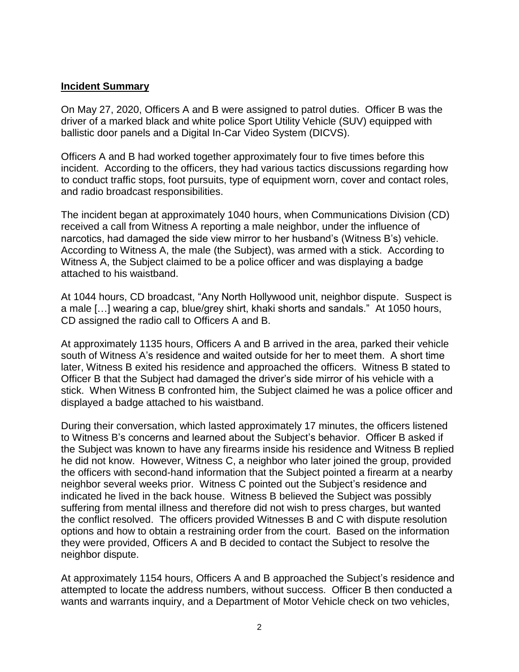### **Incident Summary**

On May 27, 2020, Officers A and B were assigned to patrol duties. Officer B was the driver of a marked black and white police Sport Utility Vehicle (SUV) equipped with ballistic door panels and a Digital In-Car Video System (DICVS).

Officers A and B had worked together approximately four to five times before this incident. According to the officers, they had various tactics discussions regarding how to conduct traffic stops, foot pursuits, type of equipment worn, cover and contact roles, and radio broadcast responsibilities.

The incident began at approximately 1040 hours, when Communications Division (CD) received a call from Witness A reporting a male neighbor, under the influence of narcotics, had damaged the side view mirror to her husband's (Witness B's) vehicle. According to Witness A, the male (the Subject), was armed with a stick. According to Witness A, the Subject claimed to be a police officer and was displaying a badge attached to his waistband.

At 1044 hours, CD broadcast, "Any North Hollywood unit, neighbor dispute. Suspect is a male […] wearing a cap, blue/grey shirt, khaki shorts and sandals." At 1050 hours, CD assigned the radio call to Officers A and B.

At approximately 1135 hours, Officers A and B arrived in the area, parked their vehicle south of Witness A's residence and waited outside for her to meet them. A short time later, Witness B exited his residence and approached the officers. Witness B stated to Officer B that the Subject had damaged the driver's side mirror of his vehicle with a stick. When Witness B confronted him, the Subject claimed he was a police officer and displayed a badge attached to his waistband.

During their conversation, which lasted approximately 17 minutes, the officers listened to Witness B's concerns and learned about the Subject's behavior. Officer B asked if the Subject was known to have any firearms inside his residence and Witness B replied he did not know. However, Witness C, a neighbor who later joined the group, provided the officers with second-hand information that the Subject pointed a firearm at a nearby neighbor several weeks prior. Witness C pointed out the Subject's residence and indicated he lived in the back house. Witness B believed the Subject was possibly suffering from mental illness and therefore did not wish to press charges, but wanted the conflict resolved. The officers provided Witnesses B and C with dispute resolution options and how to obtain a restraining order from the court. Based on the information they were provided, Officers A and B decided to contact the Subject to resolve the neighbor dispute.

At approximately 1154 hours, Officers A and B approached the Subject's residence and attempted to locate the address numbers, without success. Officer B then conducted a wants and warrants inquiry, and a Department of Motor Vehicle check on two vehicles,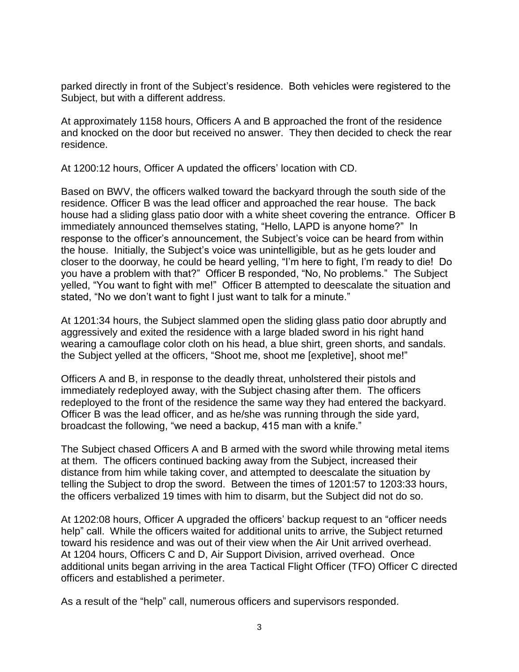parked directly in front of the Subject's residence. Both vehicles were registered to the Subject, but with a different address.

At approximately 1158 hours, Officers A and B approached the front of the residence and knocked on the door but received no answer. They then decided to check the rear residence.

At 1200:12 hours, Officer A updated the officers' location with CD.

Based on BWV, the officers walked toward the backyard through the south side of the residence. Officer B was the lead officer and approached the rear house. The back house had a sliding glass patio door with a white sheet covering the entrance. Officer B immediately announced themselves stating, "Hello, LAPD is anyone home?" In response to the officer's announcement, the Subject's voice can be heard from within the house. Initially, the Subject's voice was unintelligible, but as he gets louder and closer to the doorway, he could be heard yelling, "I'm here to fight, I'm ready to die! Do you have a problem with that?" Officer B responded, "No, No problems." The Subject yelled, "You want to fight with me!" Officer B attempted to deescalate the situation and stated, "No we don't want to fight I just want to talk for a minute."

At 1201:34 hours, the Subject slammed open the sliding glass patio door abruptly and aggressively and exited the residence with a large bladed sword in his right hand wearing a camouflage color cloth on his head, a blue shirt, green shorts, and sandals. the Subject yelled at the officers, "Shoot me, shoot me [expletive], shoot me!"

Officers A and B, in response to the deadly threat, unholstered their pistols and immediately redeployed away, with the Subject chasing after them. The officers redeployed to the front of the residence the same way they had entered the backyard. Officer B was the lead officer, and as he/she was running through the side yard, broadcast the following, "we need a backup, 415 man with a knife."

The Subject chased Officers A and B armed with the sword while throwing metal items at them. The officers continued backing away from the Subject, increased their distance from him while taking cover, and attempted to deescalate the situation by telling the Subject to drop the sword. Between the times of 1201:57 to 1203:33 hours, the officers verbalized 19 times with him to disarm, but the Subject did not do so.

At 1202:08 hours, Officer A upgraded the officers' backup request to an "officer needs help" call. While the officers waited for additional units to arrive, the Subject returned toward his residence and was out of their view when the Air Unit arrived overhead. At 1204 hours, Officers C and D, Air Support Division, arrived overhead. Once additional units began arriving in the area Tactical Flight Officer (TFO) Officer C directed officers and established a perimeter.

As a result of the "help" call, numerous officers and supervisors responded.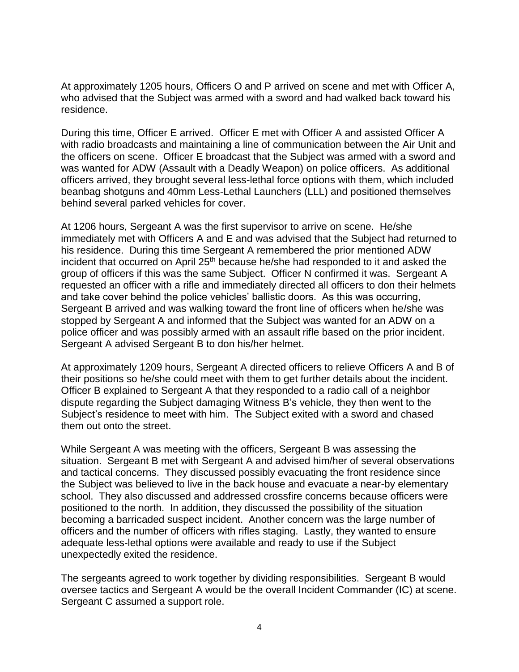At approximately 1205 hours, Officers O and P arrived on scene and met with Officer A, who advised that the Subject was armed with a sword and had walked back toward his residence.

During this time, Officer E arrived. Officer E met with Officer A and assisted Officer A with radio broadcasts and maintaining a line of communication between the Air Unit and the officers on scene. Officer E broadcast that the Subject was armed with a sword and was wanted for ADW (Assault with a Deadly Weapon) on police officers. As additional officers arrived, they brought several less-lethal force options with them, which included beanbag shotguns and 40mm Less-Lethal Launchers (LLL) and positioned themselves behind several parked vehicles for cover.

At 1206 hours, Sergeant A was the first supervisor to arrive on scene. He/she immediately met with Officers A and E and was advised that the Subject had returned to his residence. During this time Sergeant A remembered the prior mentioned ADW incident that occurred on April 25<sup>th</sup> because he/she had responded to it and asked the group of officers if this was the same Subject. Officer N confirmed it was. Sergeant A requested an officer with a rifle and immediately directed all officers to don their helmets and take cover behind the police vehicles' ballistic doors. As this was occurring, Sergeant B arrived and was walking toward the front line of officers when he/she was stopped by Sergeant A and informed that the Subject was wanted for an ADW on a police officer and was possibly armed with an assault rifle based on the prior incident. Sergeant A advised Sergeant B to don his/her helmet.

At approximately 1209 hours, Sergeant A directed officers to relieve Officers A and B of their positions so he/she could meet with them to get further details about the incident. Officer B explained to Sergeant A that they responded to a radio call of a neighbor dispute regarding the Subject damaging Witness B's vehicle, they then went to the Subject's residence to meet with him. The Subject exited with a sword and chased them out onto the street.

While Sergeant A was meeting with the officers, Sergeant B was assessing the situation. Sergeant B met with Sergeant A and advised him/her of several observations and tactical concerns. They discussed possibly evacuating the front residence since the Subject was believed to live in the back house and evacuate a near-by elementary school. They also discussed and addressed crossfire concerns because officers were positioned to the north. In addition, they discussed the possibility of the situation becoming a barricaded suspect incident. Another concern was the large number of officers and the number of officers with rifles staging. Lastly, they wanted to ensure adequate less-lethal options were available and ready to use if the Subject unexpectedly exited the residence.

The sergeants agreed to work together by dividing responsibilities. Sergeant B would oversee tactics and Sergeant A would be the overall Incident Commander (IC) at scene. Sergeant C assumed a support role.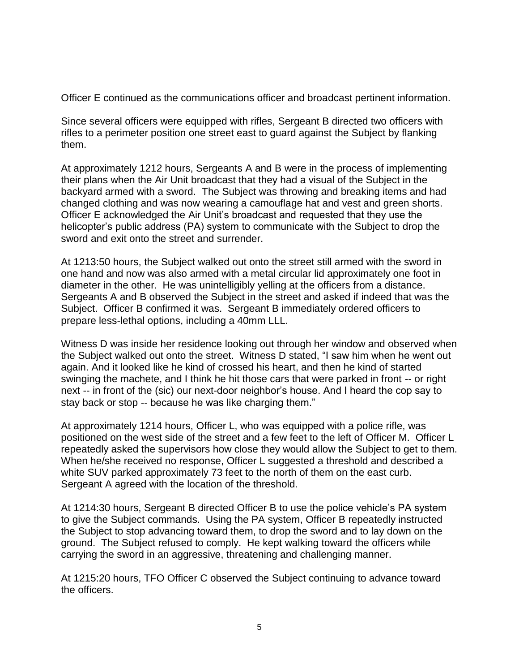Officer E continued as the communications officer and broadcast pertinent information.

Since several officers were equipped with rifles, Sergeant B directed two officers with rifles to a perimeter position one street east to guard against the Subject by flanking them.

At approximately 1212 hours, Sergeants A and B were in the process of implementing their plans when the Air Unit broadcast that they had a visual of the Subject in the backyard armed with a sword. The Subject was throwing and breaking items and had changed clothing and was now wearing a camouflage hat and vest and green shorts. Officer E acknowledged the Air Unit's broadcast and requested that they use the helicopter's public address (PA) system to communicate with the Subject to drop the sword and exit onto the street and surrender.

At 1213:50 hours, the Subject walked out onto the street still armed with the sword in one hand and now was also armed with a metal circular lid approximately one foot in diameter in the other. He was unintelligibly yelling at the officers from a distance. Sergeants A and B observed the Subject in the street and asked if indeed that was the Subject. Officer B confirmed it was. Sergeant B immediately ordered officers to prepare less-lethal options, including a 40mm LLL.

Witness D was inside her residence looking out through her window and observed when the Subject walked out onto the street. Witness D stated, "I saw him when he went out again. And it looked like he kind of crossed his heart, and then he kind of started swinging the machete, and I think he hit those cars that were parked in front -- or right next -- in front of the (sic) our next-door neighbor's house. And I heard the cop say to stay back or stop -- because he was like charging them."

At approximately 1214 hours, Officer L, who was equipped with a police rifle, was positioned on the west side of the street and a few feet to the left of Officer M. Officer L repeatedly asked the supervisors how close they would allow the Subject to get to them. When he/she received no response, Officer L suggested a threshold and described a white SUV parked approximately 73 feet to the north of them on the east curb. Sergeant A agreed with the location of the threshold.

At 1214:30 hours, Sergeant B directed Officer B to use the police vehicle's PA system to give the Subject commands. Using the PA system, Officer B repeatedly instructed the Subject to stop advancing toward them, to drop the sword and to lay down on the ground. The Subject refused to comply. He kept walking toward the officers while carrying the sword in an aggressive, threatening and challenging manner.

At 1215:20 hours, TFO Officer C observed the Subject continuing to advance toward the officers.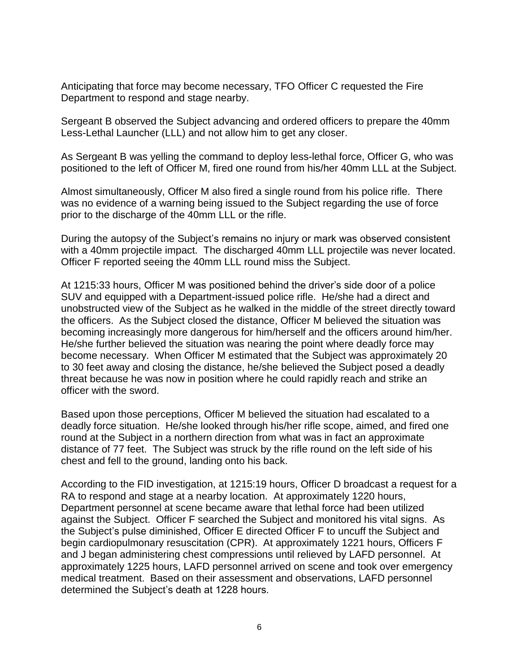Anticipating that force may become necessary, TFO Officer C requested the Fire Department to respond and stage nearby.

Sergeant B observed the Subject advancing and ordered officers to prepare the 40mm Less-Lethal Launcher (LLL) and not allow him to get any closer.

As Sergeant B was yelling the command to deploy less-lethal force, Officer G, who was positioned to the left of Officer M, fired one round from his/her 40mm LLL at the Subject.

Almost simultaneously, Officer M also fired a single round from his police rifle. There was no evidence of a warning being issued to the Subject regarding the use of force prior to the discharge of the 40mm LLL or the rifle.

During the autopsy of the Subject's remains no injury or mark was observed consistent with a 40mm projectile impact. The discharged 40mm LLL projectile was never located. Officer F reported seeing the 40mm LLL round miss the Subject.

At 1215:33 hours, Officer M was positioned behind the driver's side door of a police SUV and equipped with a Department-issued police rifle. He/she had a direct and unobstructed view of the Subject as he walked in the middle of the street directly toward the officers. As the Subject closed the distance, Officer M believed the situation was becoming increasingly more dangerous for him/herself and the officers around him/her. He/she further believed the situation was nearing the point where deadly force may become necessary. When Officer M estimated that the Subject was approximately 20 to 30 feet away and closing the distance, he/she believed the Subject posed a deadly threat because he was now in position where he could rapidly reach and strike an officer with the sword.

Based upon those perceptions, Officer M believed the situation had escalated to a deadly force situation. He/she looked through his/her rifle scope, aimed, and fired one round at the Subject in a northern direction from what was in fact an approximate distance of 77 feet. The Subject was struck by the rifle round on the left side of his chest and fell to the ground, landing onto his back.

According to the FID investigation, at 1215:19 hours, Officer D broadcast a request for a RA to respond and stage at a nearby location. At approximately 1220 hours, Department personnel at scene became aware that lethal force had been utilized against the Subject. Officer F searched the Subject and monitored his vital signs. As the Subject's pulse diminished, Officer E directed Officer F to uncuff the Subject and begin cardiopulmonary resuscitation (CPR). At approximately 1221 hours, Officers F and J began administering chest compressions until relieved by LAFD personnel. At approximately 1225 hours, LAFD personnel arrived on scene and took over emergency medical treatment. Based on their assessment and observations, LAFD personnel determined the Subject's death at 1228 hours.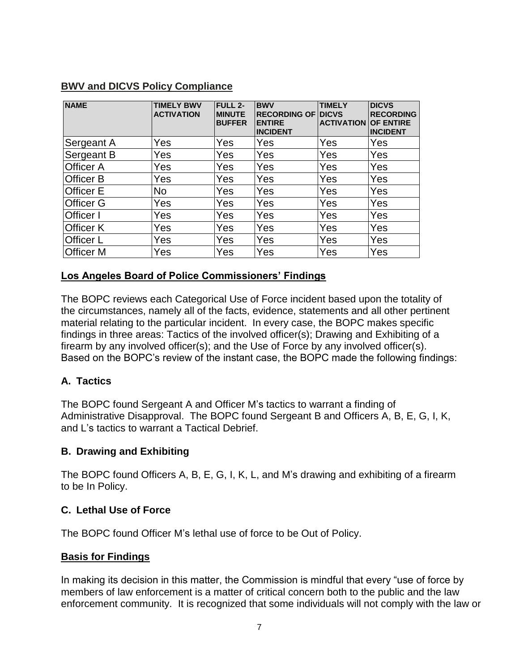| <b>NAME</b>      | <b>TIMELY BWV</b><br><b>ACTIVATION</b> | <b>FULL 2-</b><br><b>MINUTE</b><br><b>BUFFER</b> | <b>BWV</b><br><b>RECORDING OF DICVS</b><br><b>ENTIRE</b><br><b>INCIDENT</b> | <b>TIMELY</b><br><b>ACTIVATION OF ENTIRE</b> | <b>DICVS</b><br><b>RECORDING</b><br><b>INCIDENT</b> |
|------------------|----------------------------------------|--------------------------------------------------|-----------------------------------------------------------------------------|----------------------------------------------|-----------------------------------------------------|
| Sergeant A       | Yes                                    | Yes                                              | Yes                                                                         | Yes                                          | Yes                                                 |
| Sergeant B       | Yes                                    | Yes                                              | Yes                                                                         | Yes                                          | Yes                                                 |
| <b>Officer A</b> | Yes                                    | Yes                                              | Yes                                                                         | Yes                                          | Yes                                                 |
| Officer B        | Yes                                    | Yes                                              | Yes                                                                         | Yes                                          | Yes                                                 |
| <b>Officer E</b> | No                                     | Yes                                              | Yes                                                                         | Yes                                          | Yes                                                 |
| <b>Officer G</b> | Yes                                    | Yes                                              | Yes                                                                         | Yes                                          | Yes                                                 |
| <b>Officer I</b> | Yes                                    | Yes                                              | Yes                                                                         | Yes                                          | Yes                                                 |
| <b>Officer K</b> | Yes                                    | Yes                                              | Yes                                                                         | Yes                                          | Yes                                                 |
| <b>Officer L</b> | Yes                                    | Yes                                              | Yes                                                                         | Yes                                          | Yes                                                 |
| <b>Officer M</b> | Yes                                    | Yes                                              | Yes                                                                         | Yes                                          | Yes                                                 |

### **BWV and DICVS Policy Compliance**

### **Los Angeles Board of Police Commissioners' Findings**

The BOPC reviews each Categorical Use of Force incident based upon the totality of the circumstances, namely all of the facts, evidence, statements and all other pertinent material relating to the particular incident. In every case, the BOPC makes specific findings in three areas: Tactics of the involved officer(s); Drawing and Exhibiting of a firearm by any involved officer(s); and the Use of Force by any involved officer(s). Based on the BOPC's review of the instant case, the BOPC made the following findings:

### **A. Tactics**

The BOPC found Sergeant A and Officer M's tactics to warrant a finding of Administrative Disapproval. The BOPC found Sergeant B and Officers A, B, E, G, I, K, and L's tactics to warrant a Tactical Debrief.

### **B. Drawing and Exhibiting**

The BOPC found Officers A, B, E, G, I, K, L, and M's drawing and exhibiting of a firearm to be In Policy.

### **C. Lethal Use of Force**

The BOPC found Officer M's lethal use of force to be Out of Policy.

### **Basis for Findings**

In making its decision in this matter, the Commission is mindful that every "use of force by members of law enforcement is a matter of critical concern both to the public and the law enforcement community. It is recognized that some individuals will not comply with the law or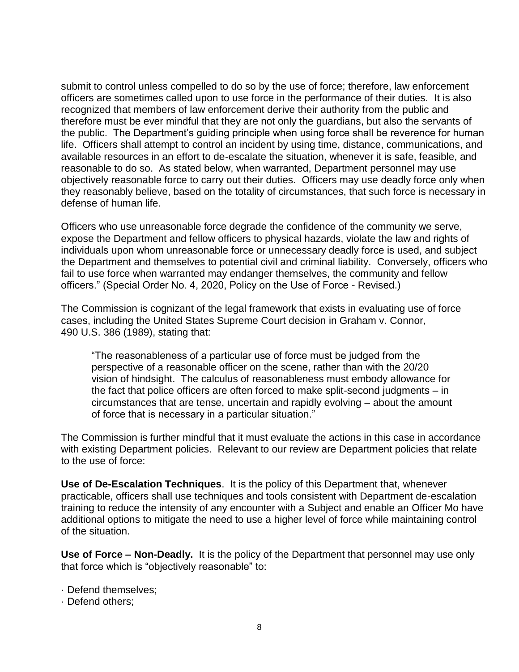submit to control unless compelled to do so by the use of force; therefore, law enforcement officers are sometimes called upon to use force in the performance of their duties. It is also recognized that members of law enforcement derive their authority from the public and therefore must be ever mindful that they are not only the guardians, but also the servants of the public. The Department's guiding principle when using force shall be reverence for human life. Officers shall attempt to control an incident by using time, distance, communications, and available resources in an effort to de-escalate the situation, whenever it is safe, feasible, and reasonable to do so. As stated below, when warranted, Department personnel may use objectively reasonable force to carry out their duties. Officers may use deadly force only when they reasonably believe, based on the totality of circumstances, that such force is necessary in defense of human life.

Officers who use unreasonable force degrade the confidence of the community we serve, expose the Department and fellow officers to physical hazards, violate the law and rights of individuals upon whom unreasonable force or unnecessary deadly force is used, and subject the Department and themselves to potential civil and criminal liability. Conversely, officers who fail to use force when warranted may endanger themselves, the community and fellow officers." (Special Order No. 4, 2020, Policy on the Use of Force - Revised.)

The Commission is cognizant of the legal framework that exists in evaluating use of force cases, including the United States Supreme Court decision in Graham v. Connor, 490 U.S. 386 (1989), stating that:

"The reasonableness of a particular use of force must be judged from the perspective of a reasonable officer on the scene, rather than with the 20/20 vision of hindsight. The calculus of reasonableness must embody allowance for the fact that police officers are often forced to make split-second judgments – in circumstances that are tense, uncertain and rapidly evolving – about the amount of force that is necessary in a particular situation."

The Commission is further mindful that it must evaluate the actions in this case in accordance with existing Department policies. Relevant to our review are Department policies that relate to the use of force:

**Use of De-Escalation Techniques**. It is the policy of this Department that, whenever practicable, officers shall use techniques and tools consistent with Department de-escalation training to reduce the intensity of any encounter with a Subject and enable an Officer Mo have additional options to mitigate the need to use a higher level of force while maintaining control of the situation.

**Use of Force – Non-Deadly.** It is the policy of the Department that personnel may use only that force which is "objectively reasonable" to:

- · Defend themselves;
- · Defend others;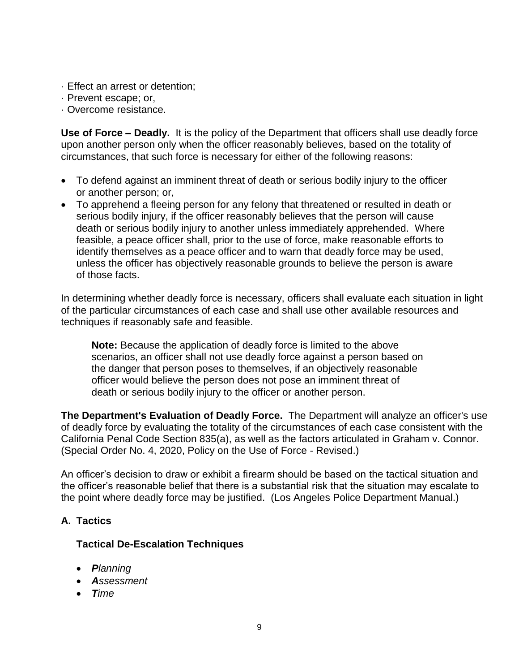- · Effect an arrest or detention;
- · Prevent escape; or,
- · Overcome resistance.

**Use of Force – Deadly.** It is the policy of the Department that officers shall use deadly force upon another person only when the officer reasonably believes, based on the totality of circumstances, that such force is necessary for either of the following reasons:

- To defend against an imminent threat of death or serious bodily injury to the officer or another person; or,
- To apprehend a fleeing person for any felony that threatened or resulted in death or serious bodily injury, if the officer reasonably believes that the person will cause death or serious bodily injury to another unless immediately apprehended. Where feasible, a peace officer shall, prior to the use of force, make reasonable efforts to identify themselves as a peace officer and to warn that deadly force may be used, unless the officer has objectively reasonable grounds to believe the person is aware of those facts.

In determining whether deadly force is necessary, officers shall evaluate each situation in light of the particular circumstances of each case and shall use other available resources and techniques if reasonably safe and feasible.

**Note:** Because the application of deadly force is limited to the above scenarios, an officer shall not use deadly force against a person based on the danger that person poses to themselves, if an objectively reasonable officer would believe the person does not pose an imminent threat of death or serious bodily injury to the officer or another person.

**The Department's Evaluation of Deadly Force.** The Department will analyze an officer's use of deadly force by evaluating the totality of the circumstances of each case consistent with the California Penal Code Section 835(a), as well as the factors articulated in Graham v. Connor. (Special Order No. 4, 2020, Policy on the Use of Force - Revised.)

An officer's decision to draw or exhibit a firearm should be based on the tactical situation and the officer's reasonable belief that there is a substantial risk that the situation may escalate to the point where deadly force may be justified. (Los Angeles Police Department Manual.)

### **A. Tactics**

### **Tactical De-Escalation Techniques**

- *Planning*
- *Assessment*
- *Time*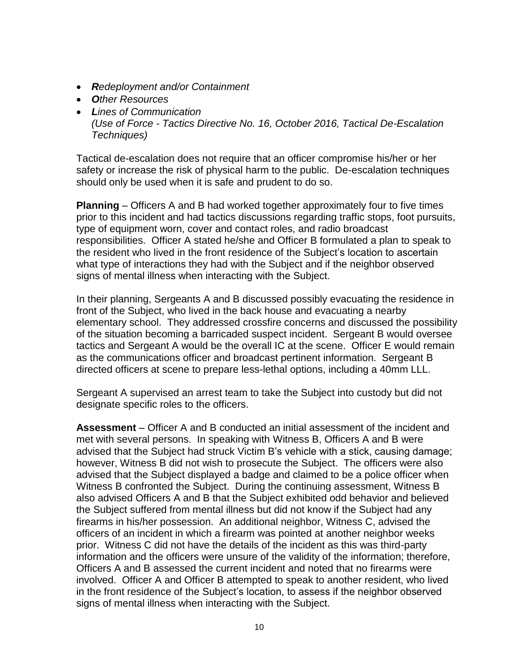- *Redeployment and/or Containment*
- *Other Resources*
- *Lines of Communication (Use of Force - Tactics Directive No. 16, October 2016, Tactical De-Escalation Techniques)*

Tactical de-escalation does not require that an officer compromise his/her or her safety or increase the risk of physical harm to the public. De-escalation techniques should only be used when it is safe and prudent to do so.

**Planning** – Officers A and B had worked together approximately four to five times prior to this incident and had tactics discussions regarding traffic stops, foot pursuits, type of equipment worn, cover and contact roles, and radio broadcast responsibilities. Officer A stated he/she and Officer B formulated a plan to speak to the resident who lived in the front residence of the Subject's location to ascertain what type of interactions they had with the Subject and if the neighbor observed signs of mental illness when interacting with the Subject.

In their planning, Sergeants A and B discussed possibly evacuating the residence in front of the Subject, who lived in the back house and evacuating a nearby elementary school. They addressed crossfire concerns and discussed the possibility of the situation becoming a barricaded suspect incident. Sergeant B would oversee tactics and Sergeant A would be the overall IC at the scene. Officer E would remain as the communications officer and broadcast pertinent information. Sergeant B directed officers at scene to prepare less-lethal options, including a 40mm LLL.

Sergeant A supervised an arrest team to take the Subject into custody but did not designate specific roles to the officers.

**Assessment** – Officer A and B conducted an initial assessment of the incident and met with several persons. In speaking with Witness B, Officers A and B were advised that the Subject had struck Victim B's vehicle with a stick, causing damage; however, Witness B did not wish to prosecute the Subject. The officers were also advised that the Subject displayed a badge and claimed to be a police officer when Witness B confronted the Subject. During the continuing assessment, Witness B also advised Officers A and B that the Subject exhibited odd behavior and believed the Subject suffered from mental illness but did not know if the Subject had any firearms in his/her possession. An additional neighbor, Witness C, advised the officers of an incident in which a firearm was pointed at another neighbor weeks prior. Witness C did not have the details of the incident as this was third-party information and the officers were unsure of the validity of the information; therefore, Officers A and B assessed the current incident and noted that no firearms were involved. Officer A and Officer B attempted to speak to another resident, who lived in the front residence of the Subject's location, to assess if the neighbor observed signs of mental illness when interacting with the Subject.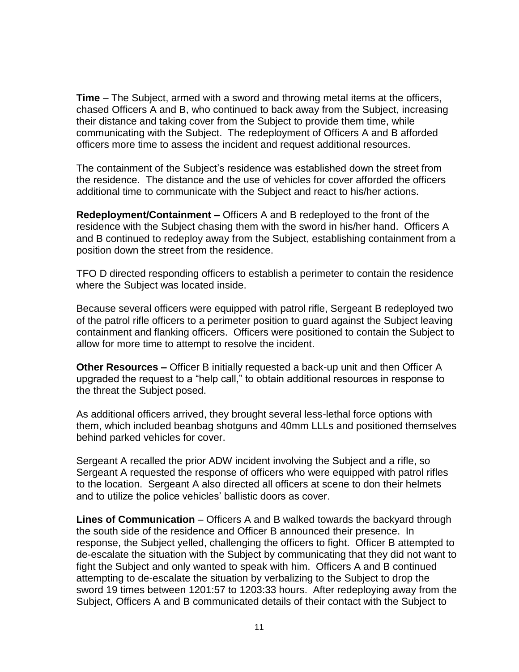**Time** – The Subject, armed with a sword and throwing metal items at the officers, chased Officers A and B, who continued to back away from the Subject, increasing their distance and taking cover from the Subject to provide them time, while communicating with the Subject. The redeployment of Officers A and B afforded officers more time to assess the incident and request additional resources.

The containment of the Subject's residence was established down the street from the residence. The distance and the use of vehicles for cover afforded the officers additional time to communicate with the Subject and react to his/her actions.

**Redeployment/Containment –** Officers A and B redeployed to the front of the residence with the Subject chasing them with the sword in his/her hand. Officers A and B continued to redeploy away from the Subject, establishing containment from a position down the street from the residence.

TFO D directed responding officers to establish a perimeter to contain the residence where the Subject was located inside.

Because several officers were equipped with patrol rifle, Sergeant B redeployed two of the patrol rifle officers to a perimeter position to guard against the Subject leaving containment and flanking officers. Officers were positioned to contain the Subject to allow for more time to attempt to resolve the incident.

**Other Resources –** Officer B initially requested a back-up unit and then Officer A upgraded the request to a "help call," to obtain additional resources in response to the threat the Subject posed.

As additional officers arrived, they brought several less-lethal force options with them, which included beanbag shotguns and 40mm LLLs and positioned themselves behind parked vehicles for cover.

Sergeant A recalled the prior ADW incident involving the Subject and a rifle, so Sergeant A requested the response of officers who were equipped with patrol rifles to the location. Sergeant A also directed all officers at scene to don their helmets and to utilize the police vehicles' ballistic doors as cover.

**Lines of Communication** – Officers A and B walked towards the backyard through the south side of the residence and Officer B announced their presence. In response, the Subject yelled, challenging the officers to fight. Officer B attempted to de-escalate the situation with the Subject by communicating that they did not want to fight the Subject and only wanted to speak with him. Officers A and B continued attempting to de-escalate the situation by verbalizing to the Subject to drop the sword 19 times between 1201:57 to 1203:33 hours. After redeploying away from the Subject, Officers A and B communicated details of their contact with the Subject to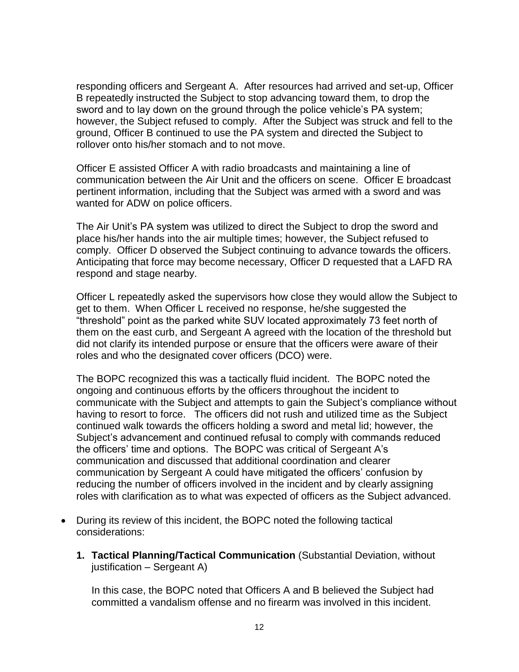responding officers and Sergeant A. After resources had arrived and set-up, Officer B repeatedly instructed the Subject to stop advancing toward them, to drop the sword and to lay down on the ground through the police vehicle's PA system; however, the Subject refused to comply. After the Subject was struck and fell to the ground, Officer B continued to use the PA system and directed the Subject to rollover onto his/her stomach and to not move.

Officer E assisted Officer A with radio broadcasts and maintaining a line of communication between the Air Unit and the officers on scene. Officer E broadcast pertinent information, including that the Subject was armed with a sword and was wanted for ADW on police officers.

The Air Unit's PA system was utilized to direct the Subject to drop the sword and place his/her hands into the air multiple times; however, the Subject refused to comply. Officer D observed the Subject continuing to advance towards the officers. Anticipating that force may become necessary, Officer D requested that a LAFD RA respond and stage nearby.

Officer L repeatedly asked the supervisors how close they would allow the Subject to get to them. When Officer L received no response, he/she suggested the "threshold" point as the parked white SUV located approximately 73 feet north of them on the east curb, and Sergeant A agreed with the location of the threshold but did not clarify its intended purpose or ensure that the officers were aware of their roles and who the designated cover officers (DCO) were.

The BOPC recognized this was a tactically fluid incident. The BOPC noted the ongoing and continuous efforts by the officers throughout the incident to communicate with the Subject and attempts to gain the Subject's compliance without having to resort to force. The officers did not rush and utilized time as the Subject continued walk towards the officers holding a sword and metal lid; however, the Subject's advancement and continued refusal to comply with commands reduced the officers' time and options. The BOPC was critical of Sergeant A's communication and discussed that additional coordination and clearer communication by Sergeant A could have mitigated the officers' confusion by reducing the number of officers involved in the incident and by clearly assigning roles with clarification as to what was expected of officers as the Subject advanced.

- During its review of this incident, the BOPC noted the following tactical considerations:
	- **1. Tactical Planning/Tactical Communication** (Substantial Deviation, without justification – Sergeant A)

In this case, the BOPC noted that Officers A and B believed the Subject had committed a vandalism offense and no firearm was involved in this incident.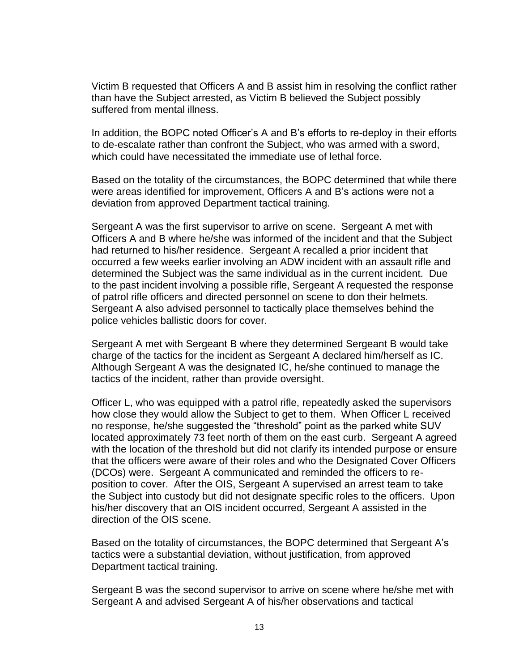Victim B requested that Officers A and B assist him in resolving the conflict rather than have the Subject arrested, as Victim B believed the Subject possibly suffered from mental illness.

In addition, the BOPC noted Officer's A and B's efforts to re-deploy in their efforts to de-escalate rather than confront the Subject, who was armed with a sword, which could have necessitated the immediate use of lethal force.

Based on the totality of the circumstances, the BOPC determined that while there were areas identified for improvement, Officers A and B's actions were not a deviation from approved Department tactical training.

Sergeant A was the first supervisor to arrive on scene. Sergeant A met with Officers A and B where he/she was informed of the incident and that the Subject had returned to his/her residence. Sergeant A recalled a prior incident that occurred a few weeks earlier involving an ADW incident with an assault rifle and determined the Subject was the same individual as in the current incident. Due to the past incident involving a possible rifle, Sergeant A requested the response of patrol rifle officers and directed personnel on scene to don their helmets. Sergeant A also advised personnel to tactically place themselves behind the police vehicles ballistic doors for cover.

Sergeant A met with Sergeant B where they determined Sergeant B would take charge of the tactics for the incident as Sergeant A declared him/herself as IC. Although Sergeant A was the designated IC, he/she continued to manage the tactics of the incident, rather than provide oversight.

Officer L, who was equipped with a patrol rifle, repeatedly asked the supervisors how close they would allow the Subject to get to them. When Officer L received no response, he/she suggested the "threshold" point as the parked white SUV located approximately 73 feet north of them on the east curb. Sergeant A agreed with the location of the threshold but did not clarify its intended purpose or ensure that the officers were aware of their roles and who the Designated Cover Officers (DCOs) were. Sergeant A communicated and reminded the officers to reposition to cover. After the OIS, Sergeant A supervised an arrest team to take the Subject into custody but did not designate specific roles to the officers. Upon his/her discovery that an OIS incident occurred, Sergeant A assisted in the direction of the OIS scene.

Based on the totality of circumstances, the BOPC determined that Sergeant A's tactics were a substantial deviation, without justification, from approved Department tactical training.

Sergeant B was the second supervisor to arrive on scene where he/she met with Sergeant A and advised Sergeant A of his/her observations and tactical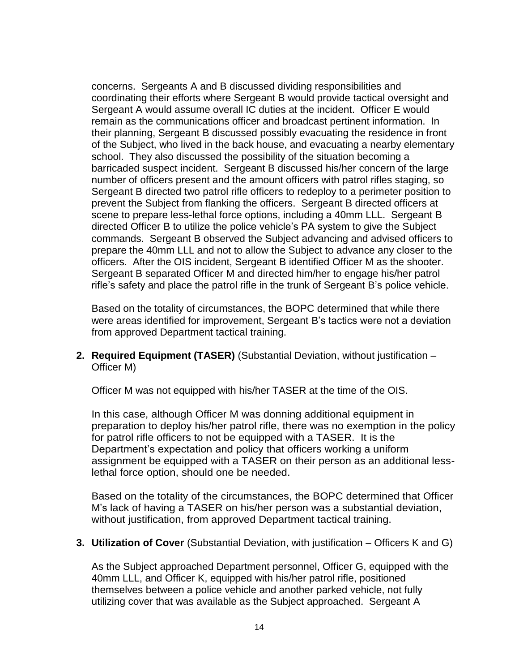concerns. Sergeants A and B discussed dividing responsibilities and coordinating their efforts where Sergeant B would provide tactical oversight and Sergeant A would assume overall IC duties at the incident. Officer E would remain as the communications officer and broadcast pertinent information. In their planning, Sergeant B discussed possibly evacuating the residence in front of the Subject, who lived in the back house, and evacuating a nearby elementary school. They also discussed the possibility of the situation becoming a barricaded suspect incident. Sergeant B discussed his/her concern of the large number of officers present and the amount officers with patrol rifles staging, so Sergeant B directed two patrol rifle officers to redeploy to a perimeter position to prevent the Subject from flanking the officers. Sergeant B directed officers at scene to prepare less-lethal force options, including a 40mm LLL. Sergeant B directed Officer B to utilize the police vehicle's PA system to give the Subject commands. Sergeant B observed the Subject advancing and advised officers to prepare the 40mm LLL and not to allow the Subject to advance any closer to the officers. After the OIS incident, Sergeant B identified Officer M as the shooter. Sergeant B separated Officer M and directed him/her to engage his/her patrol rifle's safety and place the patrol rifle in the trunk of Sergeant B's police vehicle.

Based on the totality of circumstances, the BOPC determined that while there were areas identified for improvement, Sergeant B's tactics were not a deviation from approved Department tactical training.

**2. Required Equipment (TASER)** (Substantial Deviation, without justification – Officer M)

Officer M was not equipped with his/her TASER at the time of the OIS.

In this case, although Officer M was donning additional equipment in preparation to deploy his/her patrol rifle, there was no exemption in the policy for patrol rifle officers to not be equipped with a TASER. It is the Department's expectation and policy that officers working a uniform assignment be equipped with a TASER on their person as an additional lesslethal force option, should one be needed.

Based on the totality of the circumstances, the BOPC determined that Officer M's lack of having a TASER on his/her person was a substantial deviation, without justification, from approved Department tactical training.

#### **3. Utilization of Cover** (Substantial Deviation, with justification – Officers K and G)

As the Subject approached Department personnel, Officer G, equipped with the 40mm LLL, and Officer K, equipped with his/her patrol rifle, positioned themselves between a police vehicle and another parked vehicle, not fully utilizing cover that was available as the Subject approached. Sergeant A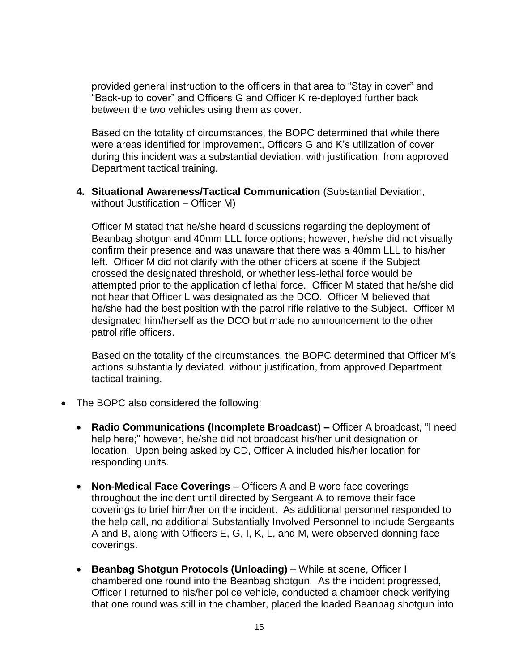provided general instruction to the officers in that area to "Stay in cover" and "Back-up to cover" and Officers G and Officer K re-deployed further back between the two vehicles using them as cover.

Based on the totality of circumstances, the BOPC determined that while there were areas identified for improvement, Officers G and K's utilization of cover during this incident was a substantial deviation, with justification, from approved Department tactical training.

**4. Situational Awareness/Tactical Communication** (Substantial Deviation, without Justification – Officer M)

Officer M stated that he/she heard discussions regarding the deployment of Beanbag shotgun and 40mm LLL force options; however, he/she did not visually confirm their presence and was unaware that there was a 40mm LLL to his/her left. Officer M did not clarify with the other officers at scene if the Subject crossed the designated threshold, or whether less-lethal force would be attempted prior to the application of lethal force. Officer M stated that he/she did not hear that Officer L was designated as the DCO. Officer M believed that he/she had the best position with the patrol rifle relative to the Subject. Officer M designated him/herself as the DCO but made no announcement to the other patrol rifle officers.

Based on the totality of the circumstances, the BOPC determined that Officer M's actions substantially deviated, without justification, from approved Department tactical training.

- The BOPC also considered the following:
	- **Radio Communications (Incomplete Broadcast) –** Officer A broadcast, "I need help here;" however, he/she did not broadcast his/her unit designation or location. Upon being asked by CD, Officer A included his/her location for responding units.
	- **Non-Medical Face Coverings –** Officers A and B wore face coverings throughout the incident until directed by Sergeant A to remove their face coverings to brief him/her on the incident. As additional personnel responded to the help call, no additional Substantially Involved Personnel to include Sergeants A and B, along with Officers E, G, I, K, L, and M, were observed donning face coverings.
	- **Beanbag Shotgun Protocols (Unloading)** While at scene, Officer I chambered one round into the Beanbag shotgun. As the incident progressed, Officer I returned to his/her police vehicle, conducted a chamber check verifying that one round was still in the chamber, placed the loaded Beanbag shotgun into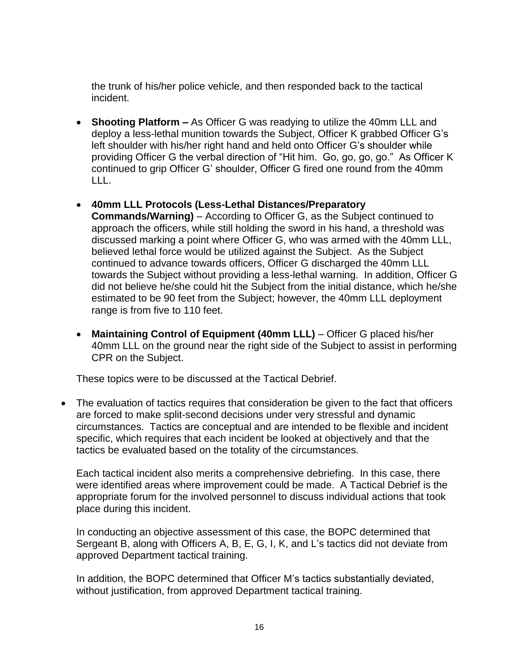the trunk of his/her police vehicle, and then responded back to the tactical incident.

- **Shooting Platform –** As Officer G was readying to utilize the 40mm LLL and deploy a less-lethal munition towards the Subject, Officer K grabbed Officer G's left shoulder with his/her right hand and held onto Officer G's shoulder while providing Officer G the verbal direction of "Hit him. Go, go, go, go." As Officer K continued to grip Officer G' shoulder, Officer G fired one round from the 40mm LLL.
- **40mm LLL Protocols (Less-Lethal Distances/Preparatory Commands/Warning)** – According to Officer G, as the Subject continued to approach the officers, while still holding the sword in his hand, a threshold was discussed marking a point where Officer G, who was armed with the 40mm LLL, believed lethal force would be utilized against the Subject. As the Subject continued to advance towards officers, Officer G discharged the 40mm LLL towards the Subject without providing a less-lethal warning. In addition, Officer G did not believe he/she could hit the Subject from the initial distance, which he/she estimated to be 90 feet from the Subject; however, the 40mm LLL deployment range is from five to 110 feet.
- **Maintaining Control of Equipment (40mm LLL)** Officer G placed his/her 40mm LLL on the ground near the right side of the Subject to assist in performing CPR on the Subject.

These topics were to be discussed at the Tactical Debrief.

• The evaluation of tactics requires that consideration be given to the fact that officers are forced to make split-second decisions under very stressful and dynamic circumstances. Tactics are conceptual and are intended to be flexible and incident specific, which requires that each incident be looked at objectively and that the tactics be evaluated based on the totality of the circumstances.

Each tactical incident also merits a comprehensive debriefing. In this case, there were identified areas where improvement could be made. A Tactical Debrief is the appropriate forum for the involved personnel to discuss individual actions that took place during this incident.

In conducting an objective assessment of this case, the BOPC determined that Sergeant B, along with Officers A, B, E, G, I, K, and L's tactics did not deviate from approved Department tactical training.

In addition, the BOPC determined that Officer M's tactics substantially deviated, without justification, from approved Department tactical training.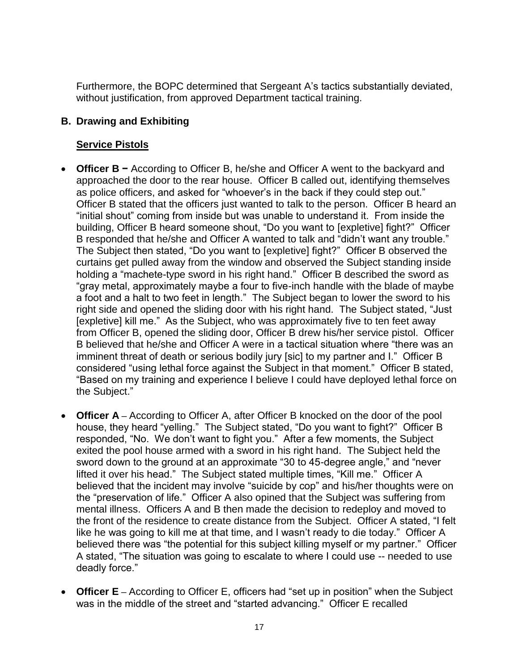Furthermore, the BOPC determined that Sergeant A's tactics substantially deviated, without justification, from approved Department tactical training.

## **B. Drawing and Exhibiting**

### **Service Pistols**

- **Officer B −** According to Officer B, he/she and Officer A went to the backyard and approached the door to the rear house. Officer B called out, identifying themselves as police officers, and asked for "whoever's in the back if they could step out." Officer B stated that the officers just wanted to talk to the person. Officer B heard an "initial shout" coming from inside but was unable to understand it. From inside the building, Officer B heard someone shout, "Do you want to [expletive] fight?" Officer B responded that he/she and Officer A wanted to talk and "didn't want any trouble." The Subject then stated, "Do you want to [expletive] fight?" Officer B observed the curtains get pulled away from the window and observed the Subject standing inside holding a "machete-type sword in his right hand." Officer B described the sword as "gray metal, approximately maybe a four to five-inch handle with the blade of maybe a foot and a halt to two feet in length." The Subject began to lower the sword to his right side and opened the sliding door with his right hand. The Subject stated, "Just [expletive] kill me." As the Subject, who was approximately five to ten feet away from Officer B, opened the sliding door, Officer B drew his/her service pistol. Officer B believed that he/she and Officer A were in a tactical situation where "there was an imminent threat of death or serious bodily jury [sic] to my partner and I." Officer B considered "using lethal force against the Subject in that moment." Officer B stated, "Based on my training and experience I believe I could have deployed lethal force on the Subject."
- **Officer A –** According to Officer A, after Officer B knocked on the door of the pool house, they heard "yelling." The Subject stated, "Do you want to fight?" Officer B responded, "No. We don't want to fight you." After a few moments, the Subject exited the pool house armed with a sword in his right hand. The Subject held the sword down to the ground at an approximate "30 to 45-degree angle," and "never lifted it over his head." The Subject stated multiple times, "Kill me." Officer A believed that the incident may involve "suicide by cop" and his/her thoughts were on the "preservation of life." Officer A also opined that the Subject was suffering from mental illness. Officers A and B then made the decision to redeploy and moved to the front of the residence to create distance from the Subject. Officer A stated, "I felt like he was going to kill me at that time, and I wasn't ready to die today." Officer A believed there was "the potential for this subject killing myself or my partner." Officer A stated, "The situation was going to escalate to where I could use -- needed to use deadly force."
- **Officer E** According to Officer E, officers had "set up in position" when the Subject was in the middle of the street and "started advancing." Officer E recalled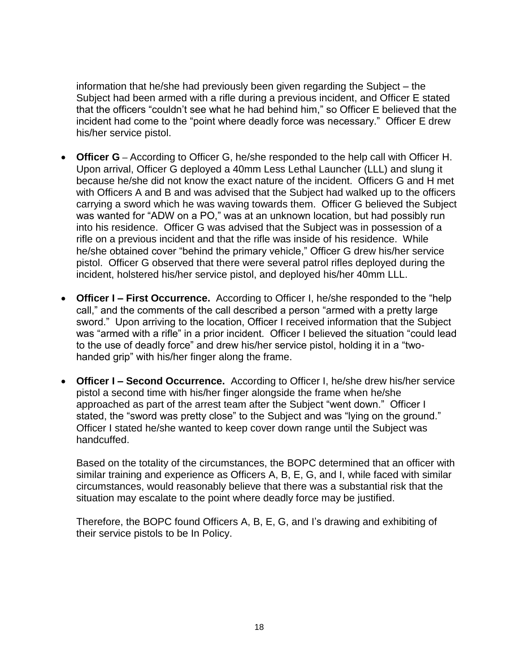information that he/she had previously been given regarding the Subject – the Subject had been armed with a rifle during a previous incident, and Officer E stated that the officers "couldn't see what he had behind him," so Officer E believed that the incident had come to the "point where deadly force was necessary." Officer E drew his/her service pistol.

- **Officer G –** According to Officer G, he/she responded to the help call with Officer H. Upon arrival, Officer G deployed a 40mm Less Lethal Launcher (LLL) and slung it because he/she did not know the exact nature of the incident. Officers G and H met with Officers A and B and was advised that the Subject had walked up to the officers carrying a sword which he was waving towards them. Officer G believed the Subject was wanted for "ADW on a PO," was at an unknown location, but had possibly run into his residence. Officer G was advised that the Subject was in possession of a rifle on a previous incident and that the rifle was inside of his residence. While he/she obtained cover "behind the primary vehicle," Officer G drew his/her service pistol. Officer G observed that there were several patrol rifles deployed during the incident, holstered his/her service pistol, and deployed his/her 40mm LLL.
- **Officer I – First Occurrence.** According to Officer I, he/she responded to the "help call," and the comments of the call described a person "armed with a pretty large sword." Upon arriving to the location, Officer I received information that the Subject was "armed with a rifle" in a prior incident. Officer I believed the situation "could lead to the use of deadly force" and drew his/her service pistol, holding it in a "twohanded grip" with his/her finger along the frame.
- **Officer I – Second Occurrence.** According to Officer I, he/she drew his/her service pistol a second time with his/her finger alongside the frame when he/she approached as part of the arrest team after the Subject "went down." Officer I stated, the "sword was pretty close" to the Subject and was "lying on the ground." Officer I stated he/she wanted to keep cover down range until the Subject was handcuffed.

Based on the totality of the circumstances, the BOPC determined that an officer with similar training and experience as Officers A, B, E, G, and I, while faced with similar circumstances, would reasonably believe that there was a substantial risk that the situation may escalate to the point where deadly force may be justified.

Therefore, the BOPC found Officers A, B, E, G, and I's drawing and exhibiting of their service pistols to be In Policy.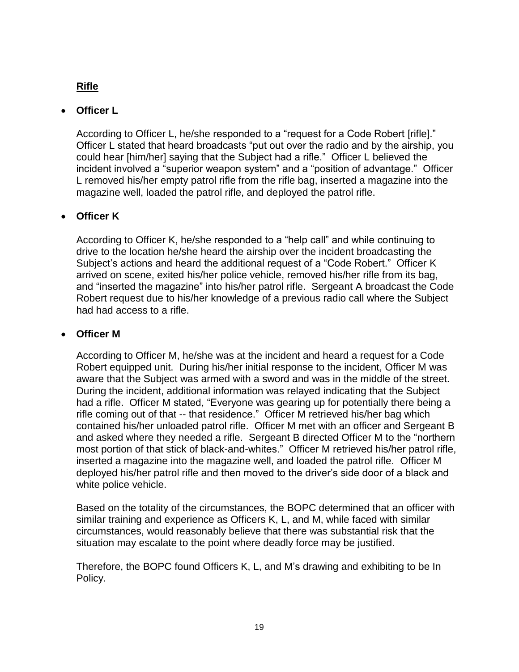# **Rifle**

### • **Officer L**

According to Officer L, he/she responded to a "request for a Code Robert [rifle]." Officer L stated that heard broadcasts "put out over the radio and by the airship, you could hear [him/her] saying that the Subject had a rifle." Officer L believed the incident involved a "superior weapon system" and a "position of advantage." Officer L removed his/her empty patrol rifle from the rifle bag, inserted a magazine into the magazine well, loaded the patrol rifle, and deployed the patrol rifle.

### • **Officer K**

According to Officer K, he/she responded to a "help call" and while continuing to drive to the location he/she heard the airship over the incident broadcasting the Subject's actions and heard the additional request of a "Code Robert." Officer K arrived on scene, exited his/her police vehicle, removed his/her rifle from its bag, and "inserted the magazine" into his/her patrol rifle. Sergeant A broadcast the Code Robert request due to his/her knowledge of a previous radio call where the Subject had had access to a rifle.

### • **Officer M**

According to Officer M, he/she was at the incident and heard a request for a Code Robert equipped unit. During his/her initial response to the incident, Officer M was aware that the Subject was armed with a sword and was in the middle of the street. During the incident, additional information was relayed indicating that the Subject had a rifle. Officer M stated, "Everyone was gearing up for potentially there being a rifle coming out of that -- that residence." Officer M retrieved his/her bag which contained his/her unloaded patrol rifle. Officer M met with an officer and Sergeant B and asked where they needed a rifle. Sergeant B directed Officer M to the "northern most portion of that stick of black-and-whites." Officer M retrieved his/her patrol rifle, inserted a magazine into the magazine well, and loaded the patrol rifle. Officer M deployed his/her patrol rifle and then moved to the driver's side door of a black and white police vehicle.

Based on the totality of the circumstances, the BOPC determined that an officer with similar training and experience as Officers K, L, and M, while faced with similar circumstances, would reasonably believe that there was substantial risk that the situation may escalate to the point where deadly force may be justified.

Therefore, the BOPC found Officers K, L, and M's drawing and exhibiting to be In Policy.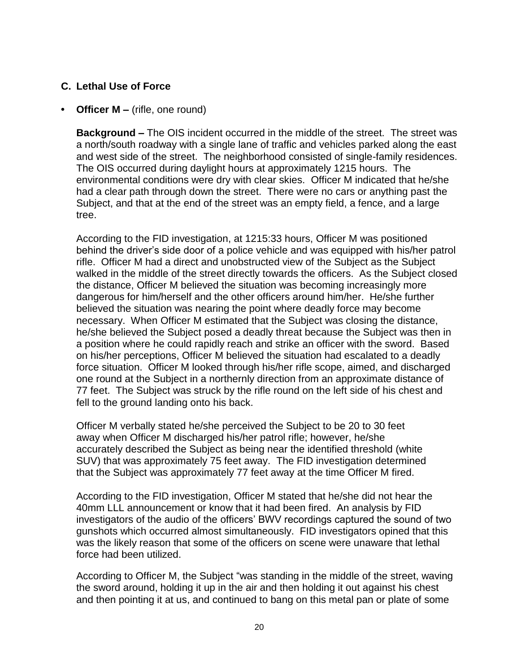### **C. Lethal Use of Force**

### **• Officer M –** (rifle, one round)

**Background –** The OIS incident occurred in the middle of the street. The street was a north/south roadway with a single lane of traffic and vehicles parked along the east and west side of the street. The neighborhood consisted of single-family residences. The OIS occurred during daylight hours at approximately 1215 hours. The environmental conditions were dry with clear skies. Officer M indicated that he/she had a clear path through down the street. There were no cars or anything past the Subject, and that at the end of the street was an empty field, a fence, and a large tree.

According to the FID investigation, at 1215:33 hours, Officer M was positioned behind the driver's side door of a police vehicle and was equipped with his/her patrol rifle. Officer M had a direct and unobstructed view of the Subject as the Subject walked in the middle of the street directly towards the officers. As the Subject closed the distance, Officer M believed the situation was becoming increasingly more dangerous for him/herself and the other officers around him/her. He/she further believed the situation was nearing the point where deadly force may become necessary. When Officer M estimated that the Subject was closing the distance, he/she believed the Subject posed a deadly threat because the Subject was then in a position where he could rapidly reach and strike an officer with the sword. Based on his/her perceptions, Officer M believed the situation had escalated to a deadly force situation. Officer M looked through his/her rifle scope, aimed, and discharged one round at the Subject in a northernly direction from an approximate distance of 77 feet. The Subject was struck by the rifle round on the left side of his chest and fell to the ground landing onto his back.

Officer M verbally stated he/she perceived the Subject to be 20 to 30 feet away when Officer M discharged his/her patrol rifle; however, he/she accurately described the Subject as being near the identified threshold (white SUV) that was approximately 75 feet away. The FID investigation determined that the Subject was approximately 77 feet away at the time Officer M fired.

According to the FID investigation, Officer M stated that he/she did not hear the 40mm LLL announcement or know that it had been fired. An analysis by FID investigators of the audio of the officers' BWV recordings captured the sound of two gunshots which occurred almost simultaneously. FID investigators opined that this was the likely reason that some of the officers on scene were unaware that lethal force had been utilized.

According to Officer M, the Subject "was standing in the middle of the street, waving the sword around, holding it up in the air and then holding it out against his chest and then pointing it at us, and continued to bang on this metal pan or plate of some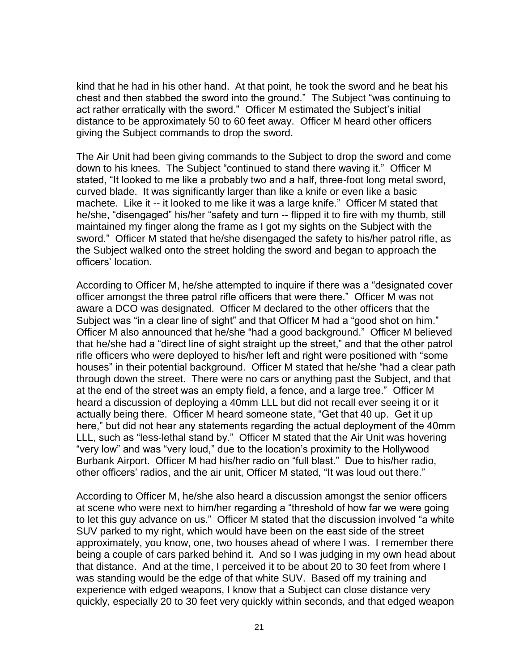kind that he had in his other hand. At that point, he took the sword and he beat his chest and then stabbed the sword into the ground." The Subject "was continuing to act rather erratically with the sword." Officer M estimated the Subject's initial distance to be approximately 50 to 60 feet away. Officer M heard other officers giving the Subject commands to drop the sword.

The Air Unit had been giving commands to the Subject to drop the sword and come down to his knees. The Subject "continued to stand there waving it." Officer M stated, "It looked to me like a probably two and a half, three-foot long metal sword, curved blade. It was significantly larger than like a knife or even like a basic machete. Like it -- it looked to me like it was a large knife." Officer M stated that he/she, "disengaged" his/her "safety and turn -- flipped it to fire with my thumb, still maintained my finger along the frame as I got my sights on the Subject with the sword." Officer M stated that he/she disengaged the safety to his/her patrol rifle, as the Subject walked onto the street holding the sword and began to approach the officers' location.

According to Officer M, he/she attempted to inquire if there was a "designated cover officer amongst the three patrol rifle officers that were there." Officer M was not aware a DCO was designated. Officer M declared to the other officers that the Subject was "in a clear line of sight" and that Officer M had a "good shot on him." Officer M also announced that he/she "had a good background." Officer M believed that he/she had a "direct line of sight straight up the street," and that the other patrol rifle officers who were deployed to his/her left and right were positioned with "some houses" in their potential background. Officer M stated that he/she "had a clear path through down the street. There were no cars or anything past the Subject, and that at the end of the street was an empty field, a fence, and a large tree." Officer M heard a discussion of deploying a 40mm LLL but did not recall ever seeing it or it actually being there. Officer M heard someone state, "Get that 40 up. Get it up here," but did not hear any statements regarding the actual deployment of the 40mm LLL, such as "less-lethal stand by." Officer M stated that the Air Unit was hovering "very low" and was "very loud," due to the location's proximity to the Hollywood Burbank Airport. Officer M had his/her radio on "full blast." Due to his/her radio, other officers' radios, and the air unit, Officer M stated, "It was loud out there."

According to Officer M, he/she also heard a discussion amongst the senior officers at scene who were next to him/her regarding a "threshold of how far we were going to let this guy advance on us." Officer M stated that the discussion involved "a white SUV parked to my right, which would have been on the east side of the street approximately, you know, one, two houses ahead of where I was. I remember there being a couple of cars parked behind it. And so I was judging in my own head about that distance. And at the time, I perceived it to be about 20 to 30 feet from where I was standing would be the edge of that white SUV. Based off my training and experience with edged weapons, I know that a Subject can close distance very quickly, especially 20 to 30 feet very quickly within seconds, and that edged weapon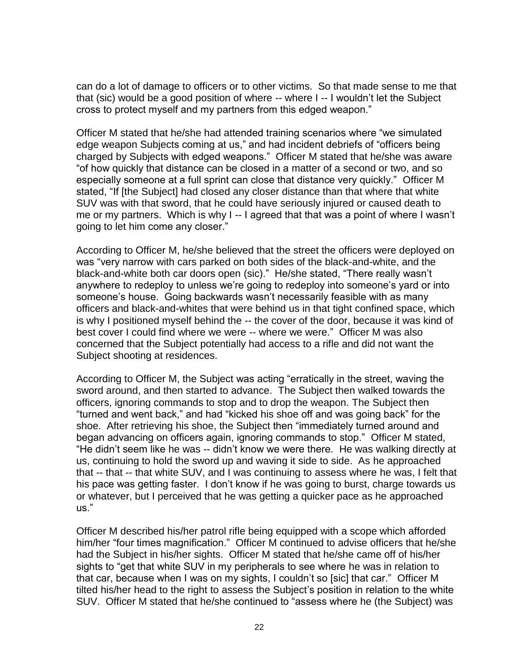can do a lot of damage to officers or to other victims. So that made sense to me that that (sic) would be a good position of where -- where I -- I wouldn't let the Subject cross to protect myself and my partners from this edged weapon."

Officer M stated that he/she had attended training scenarios where "we simulated edge weapon Subjects coming at us," and had incident debriefs of "officers being charged by Subjects with edged weapons." Officer M stated that he/she was aware "of how quickly that distance can be closed in a matter of a second or two, and so especially someone at a full sprint can close that distance very quickly." Officer M stated, "If [the Subject] had closed any closer distance than that where that white SUV was with that sword, that he could have seriously injured or caused death to me or my partners. Which is why I -- I agreed that that was a point of where I wasn't going to let him come any closer."

According to Officer M, he/she believed that the street the officers were deployed on was "very narrow with cars parked on both sides of the black-and-white, and the black-and-white both car doors open (sic)." He/she stated, "There really wasn't anywhere to redeploy to unless we're going to redeploy into someone's yard or into someone's house. Going backwards wasn't necessarily feasible with as many officers and black-and-whites that were behind us in that tight confined space, which is why I positioned myself behind the -- the cover of the door, because it was kind of best cover I could find where we were -- where we were." Officer M was also concerned that the Subject potentially had access to a rifle and did not want the Subject shooting at residences.

According to Officer M, the Subject was acting "erratically in the street, waving the sword around, and then started to advance. The Subject then walked towards the officers, ignoring commands to stop and to drop the weapon. The Subject then "turned and went back," and had "kicked his shoe off and was going back" for the shoe. After retrieving his shoe, the Subject then "immediately turned around and began advancing on officers again, ignoring commands to stop." Officer M stated, "He didn't seem like he was -- didn't know we were there. He was walking directly at us, continuing to hold the sword up and waving it side to side. As he approached that -- that -- that white SUV, and I was continuing to assess where he was, I felt that his pace was getting faster. I don't know if he was going to burst, charge towards us or whatever, but I perceived that he was getting a quicker pace as he approached us."

Officer M described his/her patrol rifle being equipped with a scope which afforded him/her "four times magnification." Officer M continued to advise officers that he/she had the Subject in his/her sights. Officer M stated that he/she came off of his/her sights to "get that white SUV in my peripherals to see where he was in relation to that car, because when I was on my sights, I couldn't so [sic] that car." Officer M tilted his/her head to the right to assess the Subject's position in relation to the white SUV. Officer M stated that he/she continued to "assess where he (the Subject) was